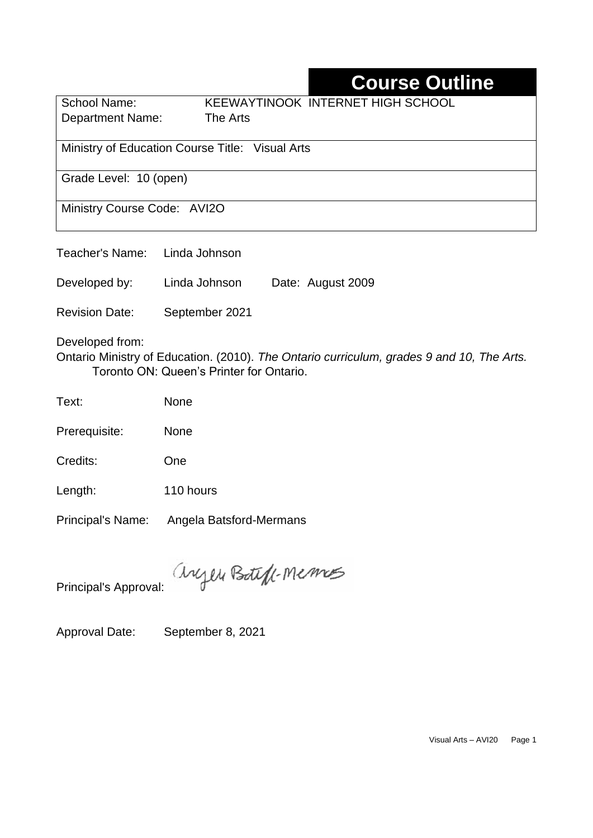# **Course Outline**

| School Name:                                    | KEEWAYTINOOK INTERNET HIGH SCHOOL |
|-------------------------------------------------|-----------------------------------|
| <b>Department Name:</b>                         | The Arts                          |
|                                                 |                                   |
| Ministry of Education Course Title: Visual Arts |                                   |
| Grade Level: 10 (open)                          |                                   |
| Ministry Course Code: AVI2O                     |                                   |

| Teacher's Name: Linda Johnson |               |                   |
|-------------------------------|---------------|-------------------|
| Developed by:                 | Linda Johnson | Date: August 2009 |

Revision Date: September 2021

Developed from:

Ontario Ministry of Education. (2010). *The Ontario curriculum, grades 9 and 10, The Arts.*  Toronto ON: Queen's Printer for Ontario.

Text: None

Prerequisite: None

Credits: One

Length: 110 hours

Principal's Name: Angela Batsford-Mermans

anyen Boteff-Memos

Principal's Approval:

Approval Date: September 8, 2021

Visual Arts – AVI20 Page 1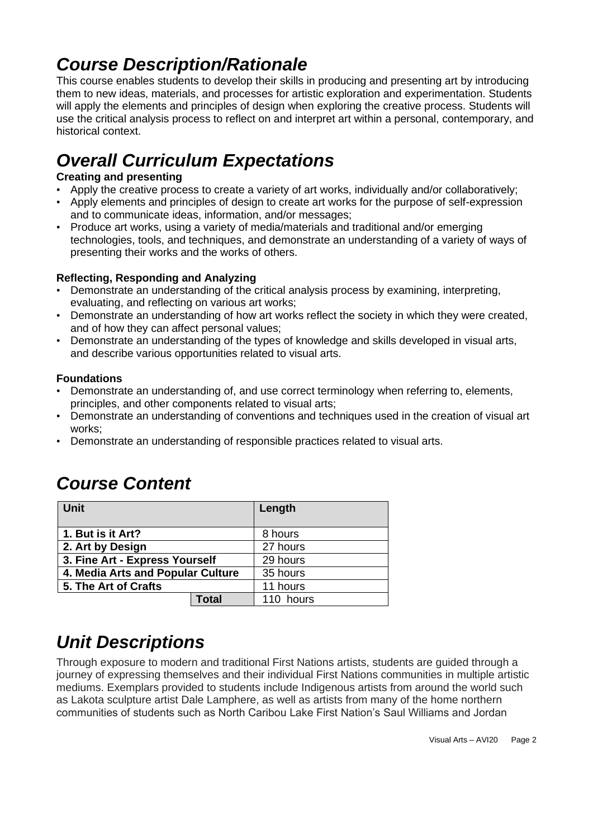## *Course Description/Rationale*

This course enables students to develop their skills in producing and presenting art by introducing them to new ideas, materials, and processes for artistic exploration and experimentation. Students will apply the elements and principles of design when exploring the creative process. Students will use the critical analysis process to reflect on and interpret art within a personal, contemporary, and historical context.

# *Overall Curriculum Expectations*

### **Creating and presenting**

- Apply the creative process to create a variety of art works, individually and/or collaboratively;
- Apply elements and principles of design to create art works for the purpose of self-expression and to communicate ideas, information, and/or messages;
- Produce art works, using a variety of media/materials and traditional and/or emerging technologies, tools, and techniques, and demonstrate an understanding of a variety of ways of presenting their works and the works of others.

### **Reflecting, Responding and Analyzing**

- Demonstrate an understanding of the critical analysis process by examining, interpreting, evaluating, and reflecting on various art works;
- Demonstrate an understanding of how art works reflect the society in which they were created, and of how they can affect personal values;
- Demonstrate an understanding of the types of knowledge and skills developed in visual arts, and describe various opportunities related to visual arts.

### **Foundations**

- Demonstrate an understanding of, and use correct terminology when referring to, elements, principles, and other components related to visual arts;
- Demonstrate an understanding of conventions and techniques used in the creation of visual art works;
- Demonstrate an understanding of responsible practices related to visual arts.

| <b>Unit</b>                       |       | Length    |
|-----------------------------------|-------|-----------|
| 1. But is it Art?                 |       | 8 hours   |
| 2. Art by Design                  |       | 27 hours  |
| 3. Fine Art - Express Yourself    |       | 29 hours  |
| 4. Media Arts and Popular Culture |       | 35 hours  |
| 5. The Art of Crafts              |       | 11 hours  |
|                                   | Total | 110 hours |

## *Course Content*

### *Unit Descriptions*

Through exposure to modern and traditional First Nations artists, students are guided through a journey of expressing themselves and their individual First Nations communities in multiple artistic mediums. Exemplars provided to students include Indigenous artists from around the world such as Lakota sculpture artist Dale Lamphere, as well as artists from many of the home northern communities of students such as North Caribou Lake First Nation's Saul Williams and Jordan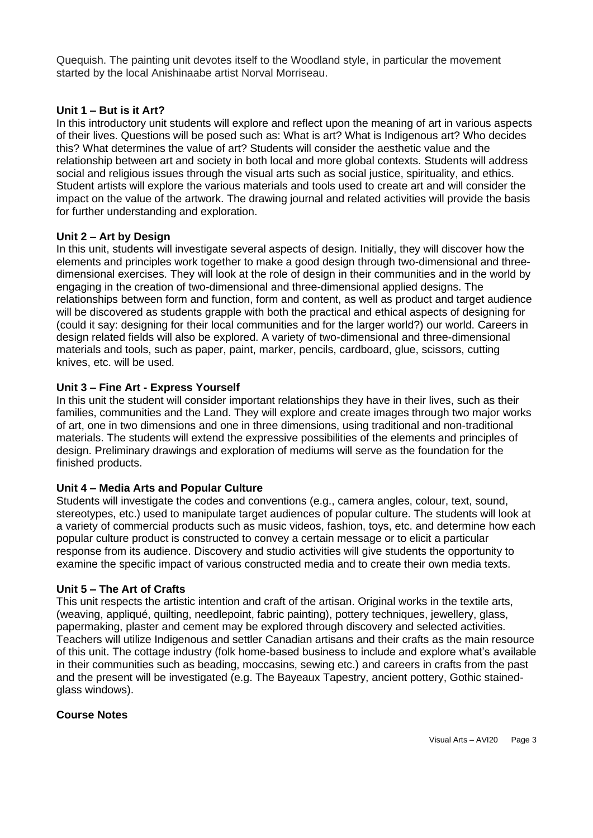Quequish. The painting unit devotes itself to the Woodland style, in particular the movement started by the local Anishinaabe artist Norval Morriseau.

#### **Unit 1 – But is it Art?**

In this introductory unit students will explore and reflect upon the meaning of art in various aspects of their lives. Questions will be posed such as: What is art? What is Indigenous art? Who decides this? What determines the value of art? Students will consider the aesthetic value and the relationship between art and society in both local and more global contexts. Students will address social and religious issues through the visual arts such as social justice, spirituality, and ethics. Student artists will explore the various materials and tools used to create art and will consider the impact on the value of the artwork. The drawing journal and related activities will provide the basis for further understanding and exploration.

#### **Unit 2 – Art by Design**

In this unit, students will investigate several aspects of design. Initially, they will discover how the elements and principles work together to make a good design through two-dimensional and threedimensional exercises. They will look at the role of design in their communities and in the world by engaging in the creation of two-dimensional and three-dimensional applied designs. The relationships between form and function, form and content, as well as product and target audience will be discovered as students grapple with both the practical and ethical aspects of designing for (could it say: designing for their local communities and for the larger world?) our world. Careers in design related fields will also be explored. A variety of two-dimensional and three-dimensional materials and tools, such as paper, paint, marker, pencils, cardboard, glue, scissors, cutting knives, etc. will be used.

#### **Unit 3 – Fine Art - Express Yourself**

In this unit the student will consider important relationships they have in their lives, such as their families, communities and the Land. They will explore and create images through two major works of art, one in two dimensions and one in three dimensions, using traditional and non-traditional materials. The students will extend the expressive possibilities of the elements and principles of design. Preliminary drawings and exploration of mediums will serve as the foundation for the finished products.

#### **Unit 4 – Media Arts and Popular Culture**

Students will investigate the codes and conventions (e.g., camera angles, colour, text, sound, stereotypes, etc.) used to manipulate target audiences of popular culture. The students will look at a variety of commercial products such as music videos, fashion, toys, etc. and determine how each popular culture product is constructed to convey a certain message or to elicit a particular response from its audience. Discovery and studio activities will give students the opportunity to examine the specific impact of various constructed media and to create their own media texts.

#### **Unit 5 – The Art of Crafts**

This unit respects the artistic intention and craft of the artisan. Original works in the textile arts, (weaving, appliqué, quilting, needlepoint, fabric painting), pottery techniques, jewellery, glass, papermaking, plaster and cement may be explored through discovery and selected activities. Teachers will utilize Indigenous and settler Canadian artisans and their crafts as the main resource of this unit. The cottage industry (folk home-based business to include and explore what's available in their communities such as beading, moccasins, sewing etc.) and careers in crafts from the past and the present will be investigated (e.g. The Bayeaux Tapestry, ancient pottery, Gothic stainedglass windows).

#### **Course Notes**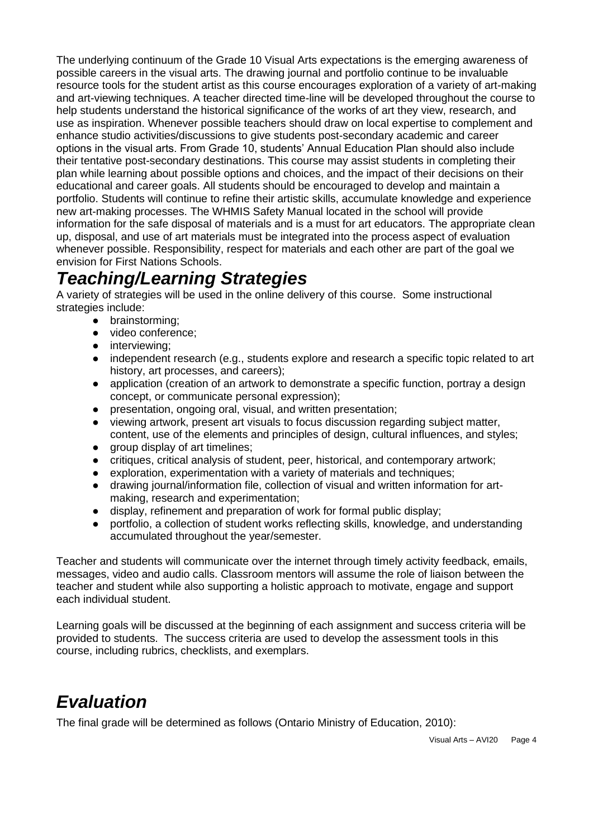The underlying continuum of the Grade 10 Visual Arts expectations is the emerging awareness of possible careers in the visual arts. The drawing journal and portfolio continue to be invaluable resource tools for the student artist as this course encourages exploration of a variety of art-making and art-viewing techniques. A teacher directed time-line will be developed throughout the course to help students understand the historical significance of the works of art they view, research, and use as inspiration. Whenever possible teachers should draw on local expertise to complement and enhance studio activities/discussions to give students post-secondary academic and career options in the visual arts. From Grade 10, students' Annual Education Plan should also include their tentative post-secondary destinations. This course may assist students in completing their plan while learning about possible options and choices, and the impact of their decisions on their educational and career goals. All students should be encouraged to develop and maintain a portfolio. Students will continue to refine their artistic skills, accumulate knowledge and experience new art-making processes. The WHMIS Safety Manual located in the school will provide information for the safe disposal of materials and is a must for art educators. The appropriate clean up, disposal, and use of art materials must be integrated into the process aspect of evaluation whenever possible. Responsibility, respect for materials and each other are part of the goal we envision for First Nations Schools.

### *Teaching/Learning Strategies*

A variety of strategies will be used in the online delivery of this course. Some instructional strategies include:

- brainstorming;
- video conference;
- interviewing;
- independent research (e.g., students explore and research a specific topic related to art history, art processes, and careers);
- application (creation of an artwork to demonstrate a specific function, portray a design concept, or communicate personal expression);
- presentation, ongoing oral, visual, and written presentation;
- viewing artwork, present art visuals to focus discussion regarding subject matter, content, use of the elements and principles of design, cultural influences, and styles;
- group display of art timelines;
- critiques, critical analysis of student, peer, historical, and contemporary artwork;
- exploration, experimentation with a variety of materials and techniques;
- drawing journal/information file, collection of visual and written information for artmaking, research and experimentation;
- display, refinement and preparation of work for formal public display:
- portfolio, a collection of student works reflecting skills, knowledge, and understanding accumulated throughout the year/semester.

Teacher and students will communicate over the internet through timely activity feedback, emails, messages, video and audio calls. Classroom mentors will assume the role of liaison between the teacher and student while also supporting a holistic approach to motivate, engage and support each individual student.

Learning goals will be discussed at the beginning of each assignment and success criteria will be provided to students. The success criteria are used to develop the assessment tools in this course, including rubrics, checklists, and exemplars.

# *Evaluation*

The final grade will be determined as follows (Ontario Ministry of Education, 2010):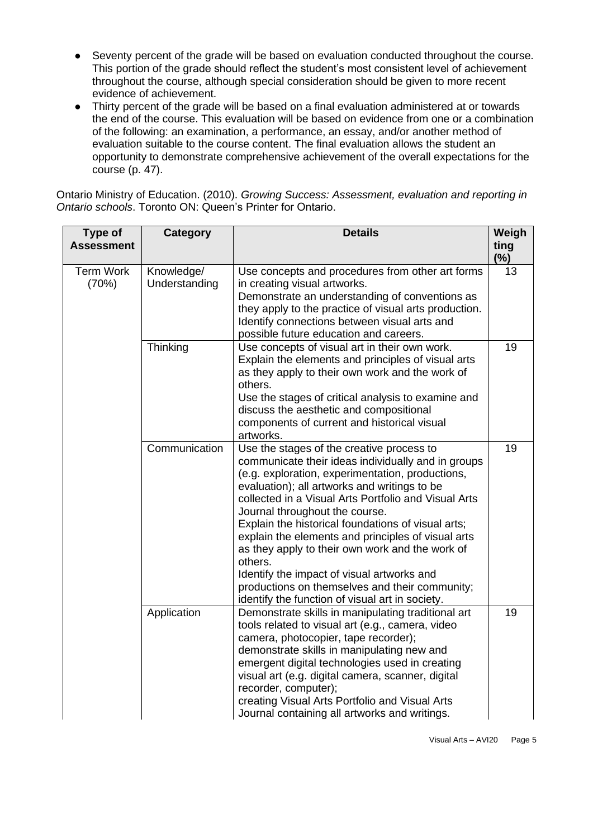- Seventy percent of the grade will be based on evaluation conducted throughout the course. This portion of the grade should reflect the student's most consistent level of achievement throughout the course, although special consideration should be given to more recent evidence of achievement.
- Thirty percent of the grade will be based on a final evaluation administered at or towards the end of the course. This evaluation will be based on evidence from one or a combination of the following: an examination, a performance, an essay, and/or another method of evaluation suitable to the course content. The final evaluation allows the student an opportunity to demonstrate comprehensive achievement of the overall expectations for the course (p. 47).

Ontario Ministry of Education. (2010). *Growing Success: Assessment, evaluation and reporting in Ontario schools*. Toronto ON: Queen's Printer for Ontario.

| Type of<br><b>Assessment</b> | <b>Category</b>             | <b>Details</b>                                                                                                                                                                                                                                                                                                                                                                                                                                                                                                                                                                                                             | Weigh<br>ting<br>$(\%)$ |
|------------------------------|-----------------------------|----------------------------------------------------------------------------------------------------------------------------------------------------------------------------------------------------------------------------------------------------------------------------------------------------------------------------------------------------------------------------------------------------------------------------------------------------------------------------------------------------------------------------------------------------------------------------------------------------------------------------|-------------------------|
| <b>Term Work</b><br>(70%)    | Knowledge/<br>Understanding | Use concepts and procedures from other art forms<br>in creating visual artworks.<br>Demonstrate an understanding of conventions as<br>they apply to the practice of visual arts production.<br>Identify connections between visual arts and<br>possible future education and careers.                                                                                                                                                                                                                                                                                                                                      | 13                      |
|                              | Thinking                    | Use concepts of visual art in their own work.<br>Explain the elements and principles of visual arts<br>as they apply to their own work and the work of<br>others.<br>Use the stages of critical analysis to examine and<br>discuss the aesthetic and compositional<br>components of current and historical visual<br>artworks.                                                                                                                                                                                                                                                                                             | 19                      |
|                              | Communication               | Use the stages of the creative process to<br>communicate their ideas individually and in groups<br>(e.g. exploration, experimentation, productions,<br>evaluation); all artworks and writings to be<br>collected in a Visual Arts Portfolio and Visual Arts<br>Journal throughout the course.<br>Explain the historical foundations of visual arts;<br>explain the elements and principles of visual arts<br>as they apply to their own work and the work of<br>others.<br>Identify the impact of visual artworks and<br>productions on themselves and their community;<br>identify the function of visual art in society. | 19                      |
|                              | Application                 | Demonstrate skills in manipulating traditional art<br>tools related to visual art (e.g., camera, video<br>camera, photocopier, tape recorder);<br>demonstrate skills in manipulating new and<br>emergent digital technologies used in creating<br>visual art (e.g. digital camera, scanner, digital<br>recorder, computer);<br>creating Visual Arts Portfolio and Visual Arts<br>Journal containing all artworks and writings.                                                                                                                                                                                             | 19                      |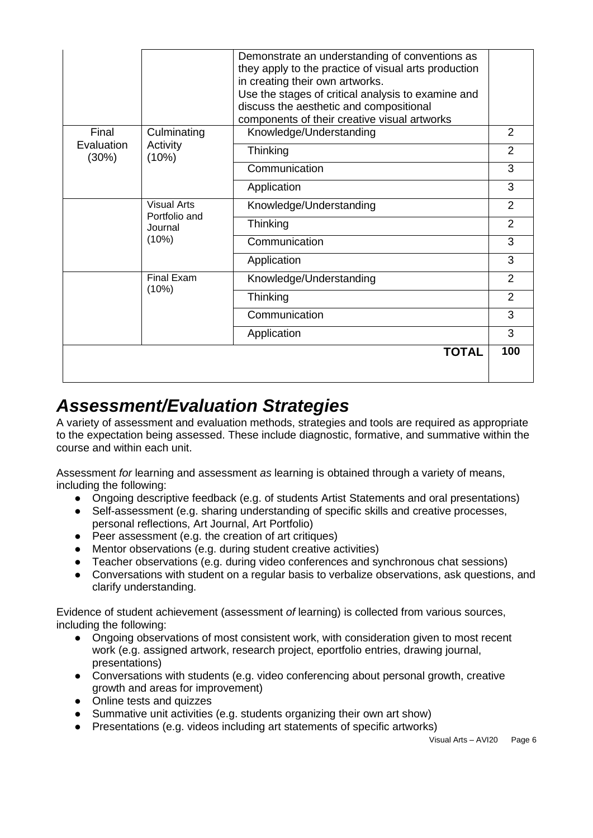|                     |                                  | Demonstrate an understanding of conventions as<br>they apply to the practice of visual arts production<br>in creating their own artworks. |                |
|---------------------|----------------------------------|-------------------------------------------------------------------------------------------------------------------------------------------|----------------|
|                     |                                  | Use the stages of critical analysis to examine and<br>discuss the aesthetic and compositional                                             |                |
|                     |                                  | components of their creative visual artworks                                                                                              |                |
| Final               | Culminating<br>Activity<br>(10%) | Knowledge/Understanding                                                                                                                   | $\overline{2}$ |
| Evaluation<br>(30%) |                                  | Thinking                                                                                                                                  | $\overline{2}$ |
|                     |                                  | Communication                                                                                                                             | 3              |
|                     |                                  | Application                                                                                                                               | 3              |
|                     | <b>Visual Arts</b>               | Knowledge/Understanding                                                                                                                   | 2              |
|                     | Portfolio and<br>Journal         | Thinking                                                                                                                                  | $\overline{2}$ |
|                     | (10%)                            | Communication                                                                                                                             | 3              |
|                     |                                  | Application                                                                                                                               | 3              |
|                     | <b>Final Exam</b>                | Knowledge/Understanding                                                                                                                   | $\overline{2}$ |
|                     | (10%)                            | Thinking                                                                                                                                  | $\overline{2}$ |
|                     |                                  | Communication                                                                                                                             | 3              |
|                     |                                  | Application                                                                                                                               | 3              |
|                     |                                  | <b>TOTAL</b>                                                                                                                              | 100            |
|                     |                                  |                                                                                                                                           |                |

### *Assessment/Evaluation Strategies*

A variety of assessment and evaluation methods, strategies and tools are required as appropriate to the expectation being assessed. These include diagnostic, formative, and summative within the course and within each unit.

Assessment *for* learning and assessment *as* learning is obtained through a variety of means, including the following:

- Ongoing descriptive feedback (e.g. of students Artist Statements and oral presentations)
- Self-assessment (e.g. sharing understanding of specific skills and creative processes, personal reflections, Art Journal, Art Portfolio)
- Peer assessment (e.g. the creation of art critiques)
- Mentor observations (e.g. during student creative activities)
- Teacher observations (e.g. during video conferences and synchronous chat sessions)
- Conversations with student on a regular basis to verbalize observations, ask questions, and clarify understanding.

Evidence of student achievement (assessment *of* learning) is collected from various sources, including the following:

- Ongoing observations of most consistent work, with consideration given to most recent work (e.g. assigned artwork, research project, eportfolio entries, drawing journal, presentations)
- Conversations with students (e.g. video conferencing about personal growth, creative growth and areas for improvement)
- Online tests and quizzes
- Summative unit activities (e.g. students organizing their own art show)
- Presentations (e.g. videos including art statements of specific artworks)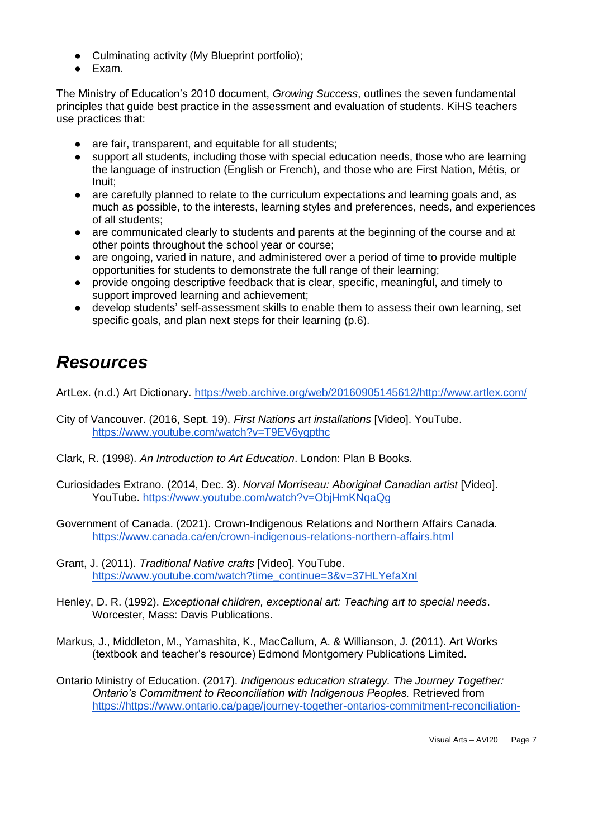- Culminating activity (My Blueprint portfolio);
- Exam.

The Ministry of Education's 2010 document, *Growing Success*, outlines the seven fundamental principles that guide best practice in the assessment and evaluation of students. KiHS teachers use practices that:

- are fair, transparent, and equitable for all students;
- support all students, including those with special education needs, those who are learning the language of instruction (English or French), and those who are First Nation, Métis, or Inuit;
- are carefully planned to relate to the curriculum expectations and learning goals and, as much as possible, to the interests, learning styles and preferences, needs, and experiences of all students;
- are communicated clearly to students and parents at the beginning of the course and at other points throughout the school year or course;
- are ongoing, varied in nature, and administered over a period of time to provide multiple opportunities for students to demonstrate the full range of their learning;
- provide ongoing descriptive feedback that is clear, specific, meaningful, and timely to support improved learning and achievement;
- develop students' self-assessment skills to enable them to assess their own learning, set specific goals, and plan next steps for their learning (p.6).

## *Resources*

ArtLex. (n.d.) Art Dictionary. [https://web.archive.org/web/20160905145612/http://www.artlex.com/](https://web.archive.org/web/20160905145612/http:/www.artlex.com/)

- City of Vancouver. (2016, Sept. 19). *First Nations art installations* [Video]. YouTube. <https://www.youtube.com/watch?v=T9EV6ygpthc>
- Clark, R. (1998). *An Introduction to Art Education*. London: Plan B Books.
- Curiosidades Extrano. (2014, Dec. 3). *Norval Morriseau: Aboriginal Canadian artist* [Video]. YouTube.<https://www.youtube.com/watch?v=ObjHmKNqaQg>
- Government of Canada. (2021). Crown-Indigenous Relations and Northern Affairs Canada. <https://www.canada.ca/en/crown-indigenous-relations-northern-affairs.html>
- Grant, J. (2011). *Traditional Native crafts* [Video]. YouTube. [https://www.youtube.com/watch?time\\_continue=3&v=37HLYefaXnI](https://www.youtube.com/watch?time_continue=3&v=37HLYefaXnI)
- Henley, D. R. (1992). *Exceptional children, exceptional art: Teaching art to special needs*. Worcester, Mass: Davis Publications.
- Markus, J., Middleton, M., Yamashita, K., MacCallum, A. & Willianson, J. (2011). Art Works (textbook and teacher's resource) Edmond Montgomery Publications Limited.
- Ontario Ministry of Education. (2017). *Indigenous education strategy. The Journey Together: Ontario's Commitment to Reconciliation with Indigenous Peoples.* Retrieved from [https://https://www.ontario.ca/page/journey-together-ontarios-commitment-reconciliation-](https://www.ontario.ca/page/journey-together-ontarios-commitment-reconciliation-indigenous-peoples)